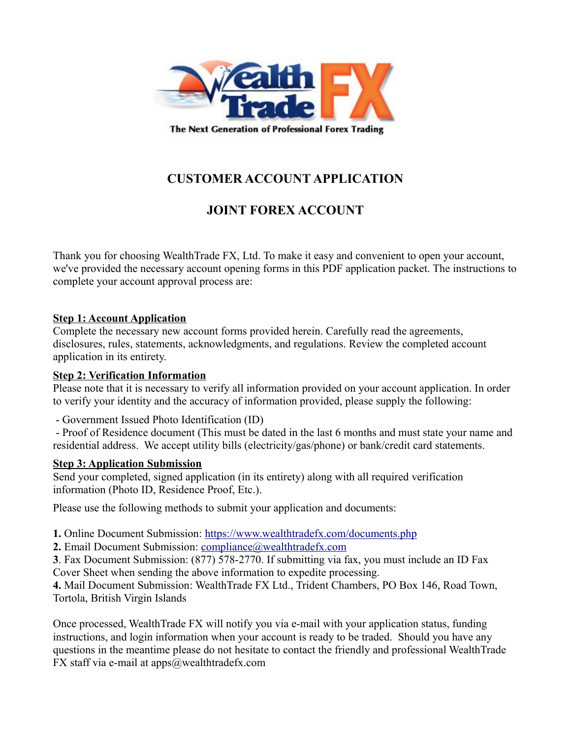

# **CUSTOMER ACCOUNT APPLICATION**

# **JOINT FOREX ACCOUNT**

Thank you for choosing WealthTrade FX, Ltd. To make it easy and convenient to open your account, we've provided the necessary account opening forms in this PDF application packet. The instructions to complete your account approval process are:

### **Step 1: Account Application**

Complete the necessary new account forms provided herein. Carefully read the agreements, disclosures, rules, statements, acknowledgments, and regulations. Review the completed account application in its entirety.

#### **Step 2: Verification Information**

Please note that it is necessary to verify all information provided on your account application. In order to verify your identity and the accuracy of information provided, please supply the following:

- Government Issued Photo Identification (ID)

 - Proof of Residence document (This must be dated in the last 6 months and must state your name and residential address. We accept utility bills (electricity/gas/phone) or bank/credit card statements.

### **Step 3: Application Submission**

Send your completed, signed application (in its entirety) along with all required verification information (Photo ID, Residence Proof, Etc.).

Please use the following methods to submit your application and documents:

**1.** Online Document Submission:<https://www.wealthtradefx.com/documents.php>

**2.** Email Document Submission: [compliance@wealthtradefx.com](mailto:compliance@wealthtradefx.com)

**3**. Fax Document Submission: (877) 578-2770. If submitting via fax, you must include an ID Fax Cover Sheet when sending the above information to expedite processing.

**4.** Mail Document Submission: WealthTrade FX Ltd., Trident Chambers, PO Box 146, Road Town, Tortola, British Virgin Islands

Once processed, WealthTrade FX will notify you via e-mail with your application status, funding instructions, and login information when your account is ready to be traded. Should you have any questions in the meantime please do not hesitate to contact the friendly and professional WealthTrade FX staff via e-mail at apps@wealthtradefx.com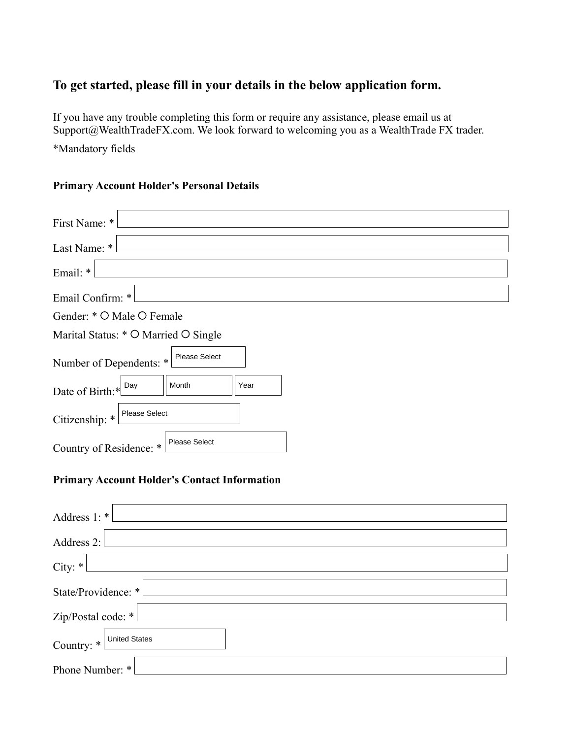# **To get started, please fill in your details in the below application form.**

If you have any trouble completing this form or require any assistance, please email us at Support@WealthTradeFX.com. We look forward to welcoming you as a WealthTrade FX trader.

\*Mandatory fields

### **Primary Account Holder's Personal Details**

| First Name: *                                       |
|-----------------------------------------------------|
| Last Name: *                                        |
| Email: *                                            |
| Email Confirm: *                                    |
| Gender: * O Male O Female                           |
| Marital Status: * O Married O Single                |
| Please Select<br>Number of Dependents: *            |
| Day<br>Month<br>Year<br>Date of Birth:*             |
| Please Select<br>Citizenship: $*$                   |
| Country of Residence: * Please Select               |
| <b>Primary Account Holder's Contact Information</b> |

| Address $1: *$           |
|--------------------------|
| Address 2:               |
| City: $*$                |
| State/Providence: *      |
| Zip/Postal code: $*L$    |
| Country: * United States |
| Phone Number: *          |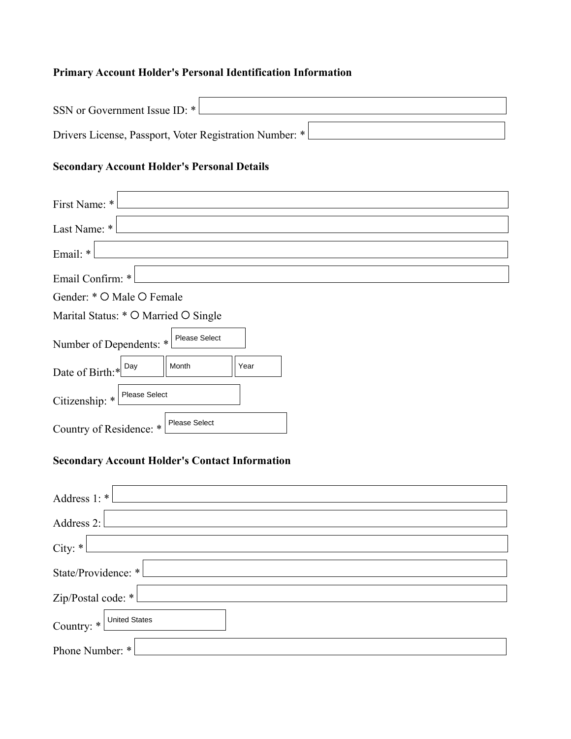### **Primary Account Holder's Personal Identification Information**

| SSN or Government Issue ID: *                            |  |
|----------------------------------------------------------|--|
| Drivers License, Passport, Voter Registration Number: *! |  |

# **Secondary Account Holder's Personal Details**

| First Name: *                                   |
|-------------------------------------------------|
| Last Name: *                                    |
| Email: *                                        |
| Email Confirm: *                                |
| Gender: * O Male O Female                       |
| Marital Status: * O Married O Single            |
| Please Select<br>Number of Dependents: *        |
| Day<br>Month<br>Year<br>Date of Birth:*         |
| <b>Please Select</b><br>Citizenship: *          |
| <b>Please Select</b><br>Country of Residence: * |

# **Secondary Account Holder's Contact Information**

| Address $1: *$           |
|--------------------------|
| Address 2:               |
| City: $*$                |
| State/Providence: *      |
| Zip/Postal code: $*$     |
| Country: * United States |
| Phone Number: *          |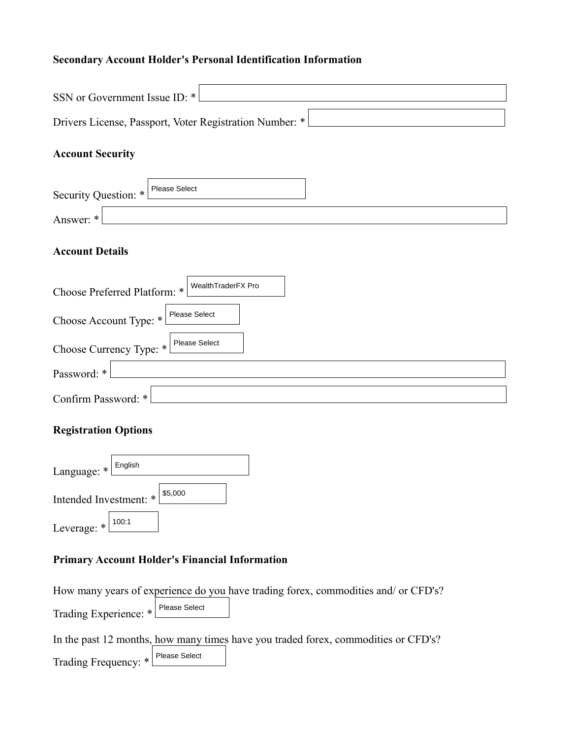# **Secondary Account Holder's Personal Identification Information**

| SSN or Government Issue ID: *                           |  |  |  |
|---------------------------------------------------------|--|--|--|
| Drivers License, Passport, Voter Registration Number: * |  |  |  |
| <b>Account Security</b>                                 |  |  |  |
| <b>Please Select</b><br>Security Question: *            |  |  |  |
| Answer: *                                               |  |  |  |
| <b>Account Details</b>                                  |  |  |  |
| WealthTraderFX Pro<br>Choose Preferred Platform: *      |  |  |  |
| Please Select<br>Choose Account Type: *                 |  |  |  |
| Please Select<br>Choose Currency Type: *                |  |  |  |
| Password: *                                             |  |  |  |

| Password: * l         |  |
|-----------------------|--|
|                       |  |
| Confirm Password: * L |  |
|                       |  |

# **Registration Options**

| Language: *                       | English |  |
|-----------------------------------|---------|--|
| \$5,000<br>Intended Investment: * |         |  |
| Leverage: *                       | 100:1   |  |

### **Primary Account Holder's Financial Information**

|                                     | How many years of experience do you have trading forex, commodities and/ or CFD's? |
|-------------------------------------|------------------------------------------------------------------------------------|
| Trading Experience: * Please Select |                                                                                    |
|                                     | In the past 12 months, how many times have you traded forex, commodities or CFD's? |
| Trading Frequency: * Please Select  |                                                                                    |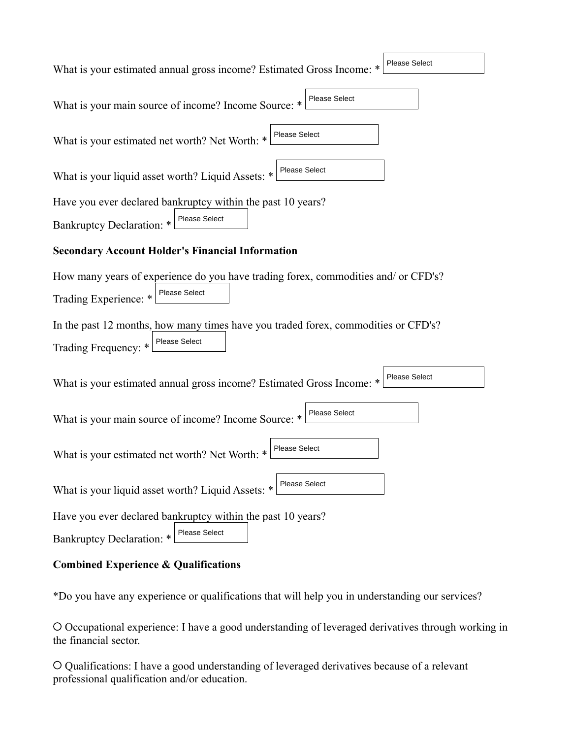| <b>Please Select</b><br>What is your estimated annual gross income? Estimated Gross Income: * |
|-----------------------------------------------------------------------------------------------|
| What is your main source of income? Income Source: * Please Select                            |
| What is your estimated net worth? Net Worth: * Please Select                                  |
| What is your liquid asset worth? Liquid Assets: * Please Select                               |
| Have you ever declared bankruptcy within the past 10 years?                                   |
| Bankruptcy Declaration: * Please Select                                                       |
| <b>Secondary Account Holder's Financial Information</b>                                       |
| How many years of experience do you have trading forex, commodities and/ or CFD's?            |
| Trading Experience: * Please Select                                                           |
| In the past 12 months, how many times have you traded forex, commodities or CFD's?            |
| Trading Frequency: * Please Select                                                            |
| <b>Please Select</b><br>What is your estimated annual gross income? Estimated Gross Income: * |
| What is your main source of income? Income Source: * Please Select                            |
| What is your estimated net worth? Net Worth: * Please Select                                  |
| Please Select<br>What is your liquid asset worth? Liquid Assets: *                            |
| Have you ever declared bankruptcy within the past 10 years?                                   |
| <b>Please Select</b><br>Bankruptcy Declaration: *                                             |

#### **Combined Experience & Qualifications**

\*Do you have any experience or qualifications that will help you in understanding our services?

 Occupational experience: I have a good understanding of leveraged derivatives through working in the financial sector.

 Qualifications: I have a good understanding of leveraged derivatives because of a relevant professional qualification and/or education.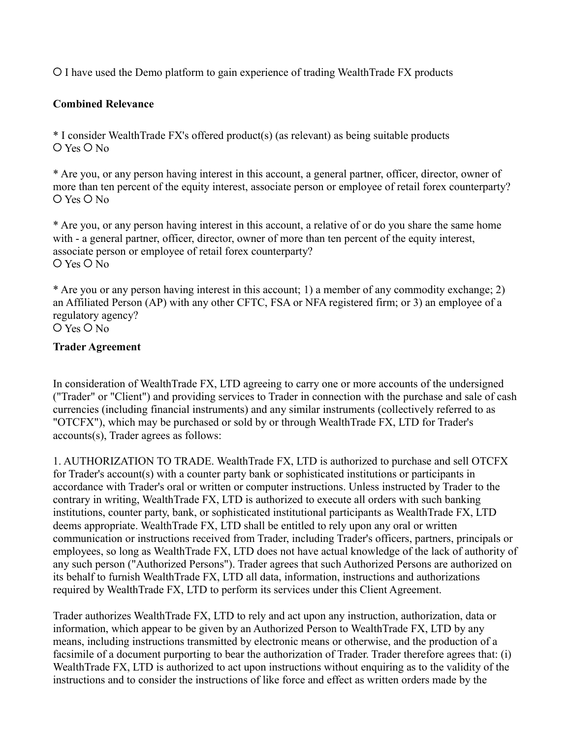I have used the Demo platform to gain experience of trading WealthTrade FX products

#### **Combined Relevance**

\* I consider WealthTrade FX's offered product(s) (as relevant) as being suitable products  $O$  Yes  $O$  No

\* Are you, or any person having interest in this account, a general partner, officer, director, owner of more than ten percent of the equity interest, associate person or employee of retail forex counterparty?  $O$  Yes  $O$  No

\* Are you, or any person having interest in this account, a relative of or do you share the same home with - a general partner, officer, director, owner of more than ten percent of the equity interest, associate person or employee of retail forex counterparty?  $O$  Yes  $O$  No

\* Are you or any person having interest in this account; 1) a member of any commodity exchange; 2) an Affiliated Person (AP) with any other CFTC, FSA or NFA registered firm; or 3) an employee of a regulatory agency?  $O$  Yes  $O$  No

#### **Trader Agreement**

In consideration of WealthTrade FX, LTD agreeing to carry one or more accounts of the undersigned ("Trader" or "Client") and providing services to Trader in connection with the purchase and sale of cash currencies (including financial instruments) and any similar instruments (collectively referred to as "OTCFX"), which may be purchased or sold by or through WealthTrade FX, LTD for Trader's accounts(s), Trader agrees as follows:

1. AUTHORIZATION TO TRADE. WealthTrade FX, LTD is authorized to purchase and sell OTCFX for Trader's account(s) with a counter party bank or sophisticated institutions or participants in accordance with Trader's oral or written or computer instructions. Unless instructed by Trader to the contrary in writing, WealthTrade FX, LTD is authorized to execute all orders with such banking institutions, counter party, bank, or sophisticated institutional participants as WealthTrade FX, LTD deems appropriate. WealthTrade FX, LTD shall be entitled to rely upon any oral or written communication or instructions received from Trader, including Trader's officers, partners, principals or employees, so long as WealthTrade FX, LTD does not have actual knowledge of the lack of authority of any such person ("Authorized Persons"). Trader agrees that such Authorized Persons are authorized on its behalf to furnish WealthTrade FX, LTD all data, information, instructions and authorizations required by WealthTrade FX, LTD to perform its services under this Client Agreement.

Trader authorizes WealthTrade FX, LTD to rely and act upon any instruction, authorization, data or information, which appear to be given by an Authorized Person to WealthTrade FX, LTD by any means, including instructions transmitted by electronic means or otherwise, and the production of a facsimile of a document purporting to bear the authorization of Trader. Trader therefore agrees that: (i) WealthTrade FX, LTD is authorized to act upon instructions without enquiring as to the validity of the instructions and to consider the instructions of like force and effect as written orders made by the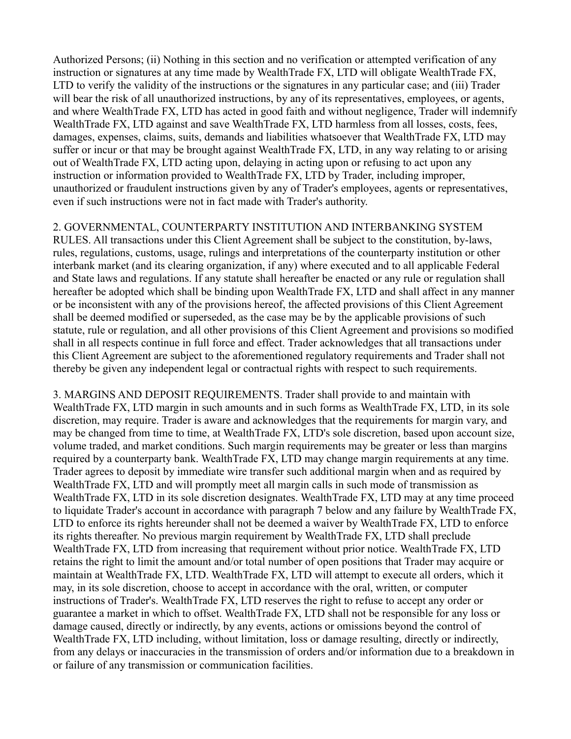Authorized Persons; (ii) Nothing in this section and no verification or attempted verification of any instruction or signatures at any time made by WealthTrade FX, LTD will obligate WealthTrade FX, LTD to verify the validity of the instructions or the signatures in any particular case; and (iii) Trader will bear the risk of all unauthorized instructions, by any of its representatives, employees, or agents, and where WealthTrade FX, LTD has acted in good faith and without negligence, Trader will indemnify WealthTrade FX, LTD against and save WealthTrade FX, LTD harmless from all losses, costs, fees, damages, expenses, claims, suits, demands and liabilities whatsoever that WealthTrade FX, LTD may suffer or incur or that may be brought against WealthTrade FX, LTD, in any way relating to or arising out of WealthTrade FX, LTD acting upon, delaying in acting upon or refusing to act upon any instruction or information provided to WealthTrade FX, LTD by Trader, including improper, unauthorized or fraudulent instructions given by any of Trader's employees, agents or representatives, even if such instructions were not in fact made with Trader's authority.

### 2. GOVERNMENTAL, COUNTERPARTY INSTITUTION AND INTERBANKING SYSTEM

RULES. All transactions under this Client Agreement shall be subject to the constitution, by-laws, rules, regulations, customs, usage, rulings and interpretations of the counterparty institution or other interbank market (and its clearing organization, if any) where executed and to all applicable Federal and State laws and regulations. If any statute shall hereafter be enacted or any rule or regulation shall hereafter be adopted which shall be binding upon WealthTrade FX, LTD and shall affect in any manner or be inconsistent with any of the provisions hereof, the affected provisions of this Client Agreement shall be deemed modified or superseded, as the case may be by the applicable provisions of such statute, rule or regulation, and all other provisions of this Client Agreement and provisions so modified shall in all respects continue in full force and effect. Trader acknowledges that all transactions under this Client Agreement are subject to the aforementioned regulatory requirements and Trader shall not thereby be given any independent legal or contractual rights with respect to such requirements.

3. MARGINS AND DEPOSIT REQUIREMENTS. Trader shall provide to and maintain with WealthTrade FX, LTD margin in such amounts and in such forms as WealthTrade FX, LTD, in its sole discretion, may require. Trader is aware and acknowledges that the requirements for margin vary, and may be changed from time to time, at WealthTrade FX, LTD's sole discretion, based upon account size, volume traded, and market conditions. Such margin requirements may be greater or less than margins required by a counterparty bank. WealthTrade FX, LTD may change margin requirements at any time. Trader agrees to deposit by immediate wire transfer such additional margin when and as required by WealthTrade FX, LTD and will promptly meet all margin calls in such mode of transmission as WealthTrade FX, LTD in its sole discretion designates. WealthTrade FX, LTD may at any time proceed to liquidate Trader's account in accordance with paragraph 7 below and any failure by WealthTrade FX, LTD to enforce its rights hereunder shall not be deemed a waiver by WealthTrade FX, LTD to enforce its rights thereafter. No previous margin requirement by WealthTrade FX, LTD shall preclude WealthTrade FX, LTD from increasing that requirement without prior notice. WealthTrade FX, LTD retains the right to limit the amount and/or total number of open positions that Trader may acquire or maintain at WealthTrade FX, LTD. WealthTrade FX, LTD will attempt to execute all orders, which it may, in its sole discretion, choose to accept in accordance with the oral, written, or computer instructions of Trader's. WealthTrade FX, LTD reserves the right to refuse to accept any order or guarantee a market in which to offset. WealthTrade FX, LTD shall not be responsible for any loss or damage caused, directly or indirectly, by any events, actions or omissions beyond the control of WealthTrade FX, LTD including, without limitation, loss or damage resulting, directly or indirectly, from any delays or inaccuracies in the transmission of orders and/or information due to a breakdown in or failure of any transmission or communication facilities.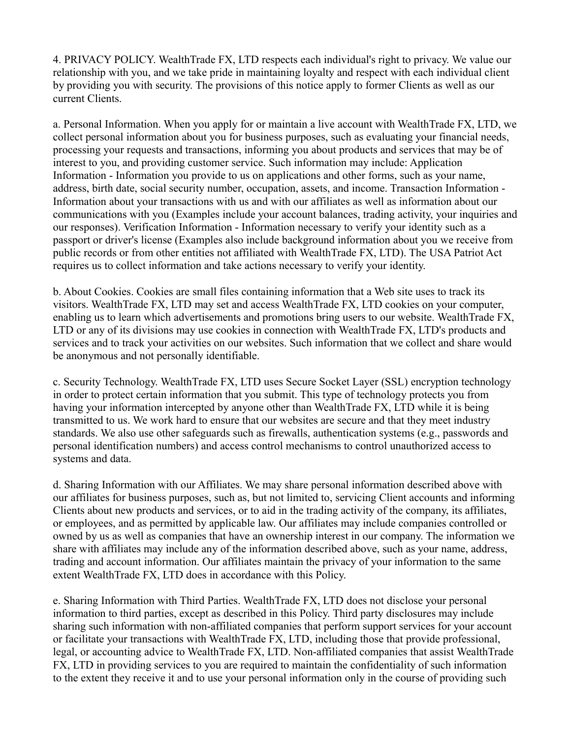4. PRIVACY POLICY. WealthTrade FX, LTD respects each individual's right to privacy. We value our relationship with you, and we take pride in maintaining loyalty and respect with each individual client by providing you with security. The provisions of this notice apply to former Clients as well as our current Clients.

a. Personal Information. When you apply for or maintain a live account with WealthTrade FX, LTD, we collect personal information about you for business purposes, such as evaluating your financial needs, processing your requests and transactions, informing you about products and services that may be of interest to you, and providing customer service. Such information may include: Application Information - Information you provide to us on applications and other forms, such as your name, address, birth date, social security number, occupation, assets, and income. Transaction Information - Information about your transactions with us and with our affiliates as well as information about our communications with you (Examples include your account balances, trading activity, your inquiries and our responses). Verification Information - Information necessary to verify your identity such as a passport or driver's license (Examples also include background information about you we receive from public records or from other entities not affiliated with WealthTrade FX, LTD). The USA Patriot Act requires us to collect information and take actions necessary to verify your identity.

b. About Cookies. Cookies are small files containing information that a Web site uses to track its visitors. WealthTrade FX, LTD may set and access WealthTrade FX, LTD cookies on your computer, enabling us to learn which advertisements and promotions bring users to our website. WealthTrade FX, LTD or any of its divisions may use cookies in connection with WealthTrade FX, LTD's products and services and to track your activities on our websites. Such information that we collect and share would be anonymous and not personally identifiable.

c. Security Technology. WealthTrade FX, LTD uses Secure Socket Layer (SSL) encryption technology in order to protect certain information that you submit. This type of technology protects you from having your information intercepted by anyone other than WealthTrade FX, LTD while it is being transmitted to us. We work hard to ensure that our websites are secure and that they meet industry standards. We also use other safeguards such as firewalls, authentication systems (e.g., passwords and personal identification numbers) and access control mechanisms to control unauthorized access to systems and data.

d. Sharing Information with our Affiliates. We may share personal information described above with our affiliates for business purposes, such as, but not limited to, servicing Client accounts and informing Clients about new products and services, or to aid in the trading activity of the company, its affiliates, or employees, and as permitted by applicable law. Our affiliates may include companies controlled or owned by us as well as companies that have an ownership interest in our company. The information we share with affiliates may include any of the information described above, such as your name, address, trading and account information. Our affiliates maintain the privacy of your information to the same extent WealthTrade FX, LTD does in accordance with this Policy.

e. Sharing Information with Third Parties. WealthTrade FX, LTD does not disclose your personal information to third parties, except as described in this Policy. Third party disclosures may include sharing such information with non-affiliated companies that perform support services for your account or facilitate your transactions with WealthTrade FX, LTD, including those that provide professional, legal, or accounting advice to WealthTrade FX, LTD. Non-affiliated companies that assist WealthTrade FX, LTD in providing services to you are required to maintain the confidentiality of such information to the extent they receive it and to use your personal information only in the course of providing such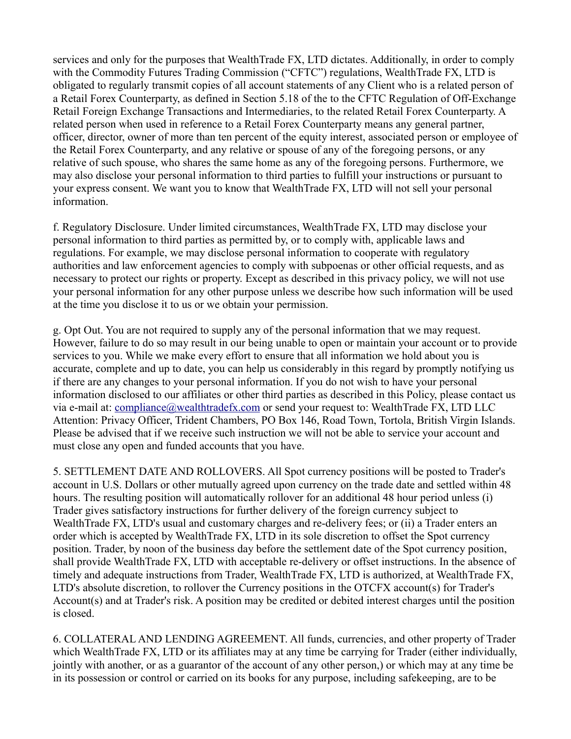services and only for the purposes that WealthTrade FX, LTD dictates. Additionally, in order to comply with the Commodity Futures Trading Commission ("CFTC") regulations, WealthTrade FX, LTD is obligated to regularly transmit copies of all account statements of any Client who is a related person of a Retail Forex Counterparty, as defined in Section 5.18 of the to the CFTC Regulation of Off-Exchange Retail Foreign Exchange Transactions and Intermediaries, to the related Retail Forex Counterparty. A related person when used in reference to a Retail Forex Counterparty means any general partner, officer, director, owner of more than ten percent of the equity interest, associated person or employee of the Retail Forex Counterparty, and any relative or spouse of any of the foregoing persons, or any relative of such spouse, who shares the same home as any of the foregoing persons. Furthermore, we may also disclose your personal information to third parties to fulfill your instructions or pursuant to your express consent. We want you to know that WealthTrade FX, LTD will not sell your personal information.

f. Regulatory Disclosure. Under limited circumstances, WealthTrade FX, LTD may disclose your personal information to third parties as permitted by, or to comply with, applicable laws and regulations. For example, we may disclose personal information to cooperate with regulatory authorities and law enforcement agencies to comply with subpoenas or other official requests, and as necessary to protect our rights or property. Except as described in this privacy policy, we will not use your personal information for any other purpose unless we describe how such information will be used at the time you disclose it to us or we obtain your permission.

g. Opt Out. You are not required to supply any of the personal information that we may request. However, failure to do so may result in our being unable to open or maintain your account or to provide services to you. While we make every effort to ensure that all information we hold about you is accurate, complete and up to date, you can help us considerably in this regard by promptly notifying us if there are any changes to your personal information. If you do not wish to have your personal information disclosed to our affiliates or other third parties as described in this Policy, please contact us via e-mail at: [compliance@](mailto:%20compliance@WealthTradeFX,%20LTD.com)wealthtradefx.com or send your request to: WealthTrade FX, LTD LLC Attention: Privacy Officer, Trident Chambers, PO Box 146, Road Town, Tortola, British Virgin Islands. Please be advised that if we receive such instruction we will not be able to service your account and must close any open and funded accounts that you have.

5. SETTLEMENT DATE AND ROLLOVERS. All Spot currency positions will be posted to Trader's account in U.S. Dollars or other mutually agreed upon currency on the trade date and settled within 48 hours. The resulting position will automatically rollover for an additional 48 hour period unless (i) Trader gives satisfactory instructions for further delivery of the foreign currency subject to WealthTrade FX, LTD's usual and customary charges and re-delivery fees; or (ii) a Trader enters an order which is accepted by WealthTrade FX, LTD in its sole discretion to offset the Spot currency position. Trader, by noon of the business day before the settlement date of the Spot currency position, shall provide WealthTrade FX, LTD with acceptable re-delivery or offset instructions. In the absence of timely and adequate instructions from Trader, WealthTrade FX, LTD is authorized, at WealthTrade FX, LTD's absolute discretion, to rollover the Currency positions in the OTCFX account(s) for Trader's Account(s) and at Trader's risk. A position may be credited or debited interest charges until the position is closed.

6. COLLATERAL AND LENDING AGREEMENT. All funds, currencies, and other property of Trader which WealthTrade FX, LTD or its affiliates may at any time be carrying for Trader (either individually, jointly with another, or as a guarantor of the account of any other person,) or which may at any time be in its possession or control or carried on its books for any purpose, including safekeeping, are to be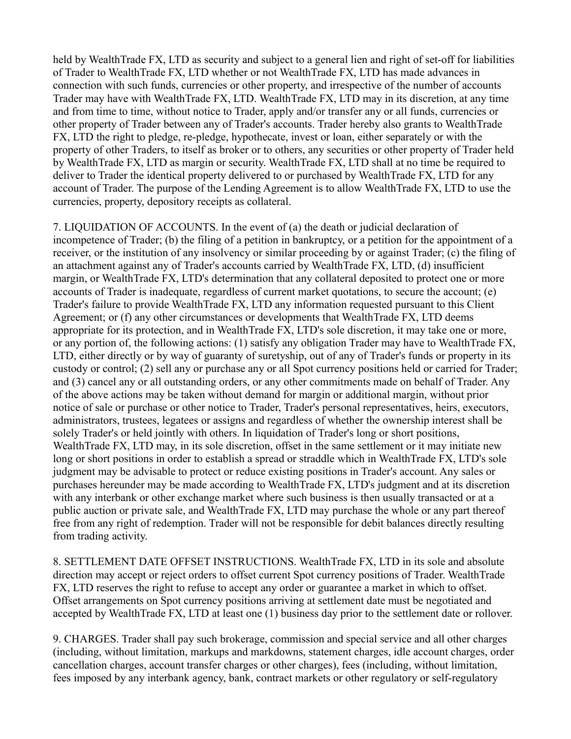held by WealthTrade FX, LTD as security and subject to a general lien and right of set-off for liabilities of Trader to WealthTrade FX, LTD whether or not WealthTrade FX, LTD has made advances in connection with such funds, currencies or other property, and irrespective of the number of accounts Trader may have with WealthTrade FX, LTD. WealthTrade FX, LTD may in its discretion, at any time and from time to time, without notice to Trader, apply and/or transfer any or all funds, currencies or other property of Trader between any of Trader's accounts. Trader hereby also grants to WealthTrade FX, LTD the right to pledge, re-pledge, hypothecate, invest or loan, either separately or with the property of other Traders, to itself as broker or to others, any securities or other property of Trader held by WealthTrade FX, LTD as margin or security. WealthTrade FX, LTD shall at no time be required to deliver to Trader the identical property delivered to or purchased by WealthTrade FX, LTD for any account of Trader. The purpose of the Lending Agreement is to allow WealthTrade FX, LTD to use the currencies, property, depository receipts as collateral.

7. LIQUIDATION OF ACCOUNTS. In the event of (a) the death or judicial declaration of incompetence of Trader; (b) the filing of a petition in bankruptcy, or a petition for the appointment of a receiver, or the institution of any insolvency or similar proceeding by or against Trader; (c) the filing of an attachment against any of Trader's accounts carried by WealthTrade FX, LTD, (d) insufficient margin, or WealthTrade FX, LTD's determination that any collateral deposited to protect one or more accounts of Trader is inadequate, regardless of current market quotations, to secure the account; (e) Trader's failure to provide WealthTrade FX, LTD any information requested pursuant to this Client Agreement; or (f) any other circumstances or developments that WealthTrade FX, LTD deems appropriate for its protection, and in WealthTrade FX, LTD's sole discretion, it may take one or more, or any portion of, the following actions: (1) satisfy any obligation Trader may have to WealthTrade FX, LTD, either directly or by way of guaranty of suretyship, out of any of Trader's funds or property in its custody or control; (2) sell any or purchase any or all Spot currency positions held or carried for Trader; and (3) cancel any or all outstanding orders, or any other commitments made on behalf of Trader. Any of the above actions may be taken without demand for margin or additional margin, without prior notice of sale or purchase or other notice to Trader, Trader's personal representatives, heirs, executors, administrators, trustees, legatees or assigns and regardless of whether the ownership interest shall be solely Trader's or held jointly with others. In liquidation of Trader's long or short positions, WealthTrade FX, LTD may, in its sole discretion, offset in the same settlement or it may initiate new long or short positions in order to establish a spread or straddle which in WealthTrade FX, LTD's sole judgment may be advisable to protect or reduce existing positions in Trader's account. Any sales or purchases hereunder may be made according to WealthTrade FX, LTD's judgment and at its discretion with any interbank or other exchange market where such business is then usually transacted or at a public auction or private sale, and WealthTrade FX, LTD may purchase the whole or any part thereof free from any right of redemption. Trader will not be responsible for debit balances directly resulting from trading activity.

8. SETTLEMENT DATE OFFSET INSTRUCTIONS. WealthTrade FX, LTD in its sole and absolute direction may accept or reject orders to offset current Spot currency positions of Trader. WealthTrade FX, LTD reserves the right to refuse to accept any order or guarantee a market in which to offset. Offset arrangements on Spot currency positions arriving at settlement date must be negotiated and accepted by WealthTrade FX, LTD at least one (1) business day prior to the settlement date or rollover.

9. CHARGES. Trader shall pay such brokerage, commission and special service and all other charges (including, without limitation, markups and markdowns, statement charges, idle account charges, order cancellation charges, account transfer charges or other charges), fees (including, without limitation, fees imposed by any interbank agency, bank, contract markets or other regulatory or self-regulatory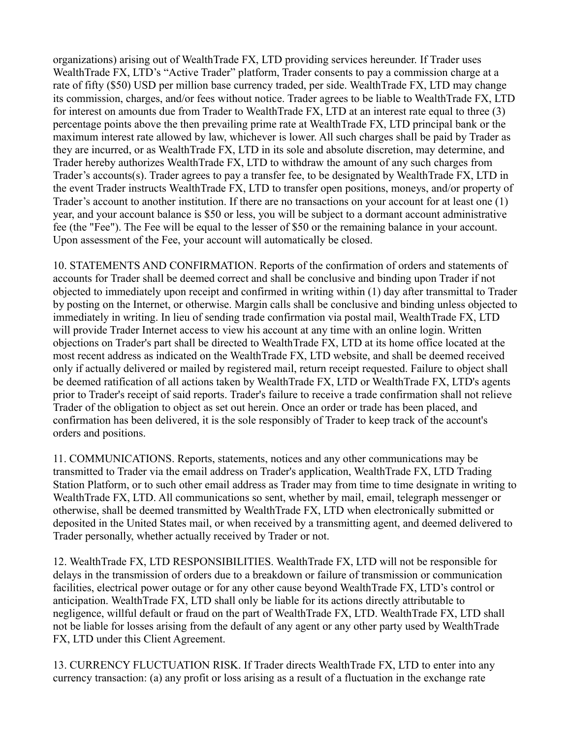organizations) arising out of WealthTrade FX, LTD providing services hereunder. If Trader uses WealthTrade FX, LTD's "Active Trader" platform, Trader consents to pay a commission charge at a rate of fifty (\$50) USD per million base currency traded, per side. WealthTrade FX, LTD may change its commission, charges, and/or fees without notice. Trader agrees to be liable to WealthTrade FX, LTD for interest on amounts due from Trader to WealthTrade FX, LTD at an interest rate equal to three (3) percentage points above the then prevailing prime rate at WealthTrade FX, LTD principal bank or the maximum interest rate allowed by law, whichever is lower. All such charges shall be paid by Trader as they are incurred, or as WealthTrade FX, LTD in its sole and absolute discretion, may determine, and Trader hereby authorizes WealthTrade FX, LTD to withdraw the amount of any such charges from Trader's accounts(s). Trader agrees to pay a transfer fee, to be designated by WealthTrade FX, LTD in the event Trader instructs WealthTrade FX, LTD to transfer open positions, moneys, and/or property of Trader's account to another institution. If there are no transactions on your account for at least one (1) year, and your account balance is \$50 or less, you will be subject to a dormant account administrative fee (the "Fee"). The Fee will be equal to the lesser of \$50 or the remaining balance in your account. Upon assessment of the Fee, your account will automatically be closed.

10. STATEMENTS AND CONFIRMATION. Reports of the confirmation of orders and statements of accounts for Trader shall be deemed correct and shall be conclusive and binding upon Trader if not objected to immediately upon receipt and confirmed in writing within (1) day after transmittal to Trader by posting on the Internet, or otherwise. Margin calls shall be conclusive and binding unless objected to immediately in writing. In lieu of sending trade confirmation via postal mail, WealthTrade FX, LTD will provide Trader Internet access to view his account at any time with an online login. Written objections on Trader's part shall be directed to WealthTrade FX, LTD at its home office located at the most recent address as indicated on the WealthTrade FX, LTD website, and shall be deemed received only if actually delivered or mailed by registered mail, return receipt requested. Failure to object shall be deemed ratification of all actions taken by WealthTrade FX, LTD or WealthTrade FX, LTD's agents prior to Trader's receipt of said reports. Trader's failure to receive a trade confirmation shall not relieve Trader of the obligation to object as set out herein. Once an order or trade has been placed, and confirmation has been delivered, it is the sole responsibly of Trader to keep track of the account's orders and positions.

11. COMMUNICATIONS. Reports, statements, notices and any other communications may be transmitted to Trader via the email address on Trader's application, WealthTrade FX, LTD Trading Station Platform, or to such other email address as Trader may from time to time designate in writing to WealthTrade FX, LTD. All communications so sent, whether by mail, email, telegraph messenger or otherwise, shall be deemed transmitted by WealthTrade FX, LTD when electronically submitted or deposited in the United States mail, or when received by a transmitting agent, and deemed delivered to Trader personally, whether actually received by Trader or not.

12. WealthTrade FX, LTD RESPONSIBILITIES. WealthTrade FX, LTD will not be responsible for delays in the transmission of orders due to a breakdown or failure of transmission or communication facilities, electrical power outage or for any other cause beyond WealthTrade FX, LTD's control or anticipation. WealthTrade FX, LTD shall only be liable for its actions directly attributable to negligence, willful default or fraud on the part of WealthTrade FX, LTD. WealthTrade FX, LTD shall not be liable for losses arising from the default of any agent or any other party used by WealthTrade FX, LTD under this Client Agreement.

13. CURRENCY FLUCTUATION RISK. If Trader directs WealthTrade FX, LTD to enter into any currency transaction: (a) any profit or loss arising as a result of a fluctuation in the exchange rate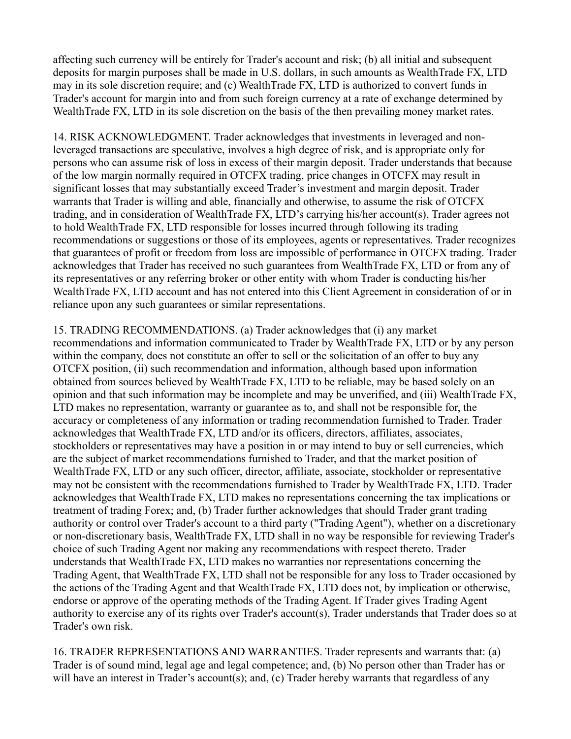affecting such currency will be entirely for Trader's account and risk; (b) all initial and subsequent deposits for margin purposes shall be made in U.S. dollars, in such amounts as WealthTrade FX, LTD may in its sole discretion require; and (c) WealthTrade FX, LTD is authorized to convert funds in Trader's account for margin into and from such foreign currency at a rate of exchange determined by WealthTrade FX, LTD in its sole discretion on the basis of the then prevailing money market rates.

14. RISK ACKNOWLEDGMENT. Trader acknowledges that investments in leveraged and nonleveraged transactions are speculative, involves a high degree of risk, and is appropriate only for persons who can assume risk of loss in excess of their margin deposit. Trader understands that because of the low margin normally required in OTCFX trading, price changes in OTCFX may result in significant losses that may substantially exceed Trader's investment and margin deposit. Trader warrants that Trader is willing and able, financially and otherwise, to assume the risk of OTCFX trading, and in consideration of WealthTrade FX, LTD's carrying his/her account(s), Trader agrees not to hold WealthTrade FX, LTD responsible for losses incurred through following its trading recommendations or suggestions or those of its employees, agents or representatives. Trader recognizes that guarantees of profit or freedom from loss are impossible of performance in OTCFX trading. Trader acknowledges that Trader has received no such guarantees from WealthTrade FX, LTD or from any of its representatives or any referring broker or other entity with whom Trader is conducting his/her WealthTrade FX, LTD account and has not entered into this Client Agreement in consideration of or in reliance upon any such guarantees or similar representations.

15. TRADING RECOMMENDATIONS. (a) Trader acknowledges that (i) any market recommendations and information communicated to Trader by WealthTrade FX, LTD or by any person within the company, does not constitute an offer to sell or the solicitation of an offer to buy any OTCFX position, (ii) such recommendation and information, although based upon information obtained from sources believed by WealthTrade FX, LTD to be reliable, may be based solely on an opinion and that such information may be incomplete and may be unverified, and (iii) WealthTrade FX, LTD makes no representation, warranty or guarantee as to, and shall not be responsible for, the accuracy or completeness of any information or trading recommendation furnished to Trader. Trader acknowledges that WealthTrade FX, LTD and/or its officers, directors, affiliates, associates, stockholders or representatives may have a position in or may intend to buy or sell currencies, which are the subject of market recommendations furnished to Trader, and that the market position of WealthTrade FX, LTD or any such officer, director, affiliate, associate, stockholder or representative may not be consistent with the recommendations furnished to Trader by WealthTrade FX, LTD. Trader acknowledges that WealthTrade FX, LTD makes no representations concerning the tax implications or treatment of trading Forex; and, (b) Trader further acknowledges that should Trader grant trading authority or control over Trader's account to a third party ("Trading Agent"), whether on a discretionary or non-discretionary basis, WealthTrade FX, LTD shall in no way be responsible for reviewing Trader's choice of such Trading Agent nor making any recommendations with respect thereto. Trader understands that WealthTrade FX, LTD makes no warranties nor representations concerning the Trading Agent, that WealthTrade FX, LTD shall not be responsible for any loss to Trader occasioned by the actions of the Trading Agent and that WealthTrade FX, LTD does not, by implication or otherwise, endorse or approve of the operating methods of the Trading Agent. If Trader gives Trading Agent authority to exercise any of its rights over Trader's account(s), Trader understands that Trader does so at Trader's own risk.

16. TRADER REPRESENTATIONS AND WARRANTIES. Trader represents and warrants that: (a) Trader is of sound mind, legal age and legal competence; and, (b) No person other than Trader has or will have an interest in Trader's account(s); and, (c) Trader hereby warrants that regardless of any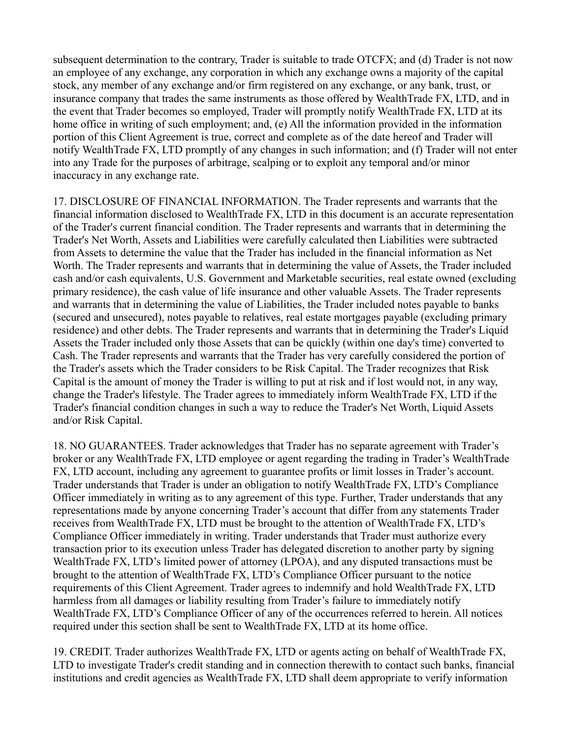subsequent determination to the contrary, Trader is suitable to trade OTCFX; and (d) Trader is not now an employee of any exchange, any corporation in which any exchange owns a majority of the capital stock, any member of any exchange and/or firm registered on any exchange, or any bank, trust, or insurance company that trades the same instruments as those offered by WealthTrade FX, LTD, and in the event that Trader becomes so employed, Trader will promptly notify WealthTrade FX, LTD at its home office in writing of such employment; and, (e) All the information provided in the information portion of this Client Agreement is true, correct and complete as of the date hereof and Trader will notify WealthTrade FX, LTD promptly of any changes in such information; and (f) Trader will not enter into any Trade for the purposes of arbitrage, scalping or to exploit any temporal and/or minor inaccuracy in any exchange rate.

17. DISCLOSURE OF FINANCIAL INFORMATION. The Trader represents and warrants that the financial information disclosed to WealthTrade FX, LTD in this document is an accurate representation of the Trader's current financial condition. The Trader represents and warrants that in determining the Trader's Net Worth, Assets and Liabilities were carefully calculated then Liabilities were subtracted from Assets to determine the value that the Trader has included in the financial information as Net Worth. The Trader represents and warrants that in determining the value of Assets, the Trader included cash and/or cash equivalents, U.S. Government and Marketable securities, real estate owned (excluding primary residence), the cash value of life insurance and other valuable Assets. The Trader represents and warrants that in determining the value of Liabilities, the Trader included notes payable to banks (secured and unsecured), notes payable to relatives, real estate mortgages payable (excluding primary residence) and other debts. The Trader represents and warrants that in determining the Trader's Liquid Assets the Trader included only those Assets that can be quickly (within one day's time) converted to Cash. The Trader represents and warrants that the Trader has very carefully considered the portion of the Trader's assets which the Trader considers to be Risk Capital. The Trader recognizes that Risk Capital is the amount of money the Trader is willing to put at risk and if lost would not, in any way, change the Trader's lifestyle. The Trader agrees to immediately inform WealthTrade FX, LTD if the Trader's financial condition changes in such a way to reduce the Trader's Net Worth, Liquid Assets and/or Risk Capital.

18. NO GUARANTEES. Trader acknowledges that Trader has no separate agreement with Trader's broker or any WealthTrade FX, LTD employee or agent regarding the trading in Trader's WealthTrade FX, LTD account, including any agreement to guarantee profits or limit losses in Trader's account. Trader understands that Trader is under an obligation to notify WealthTrade FX, LTD's Compliance Officer immediately in writing as to any agreement of this type. Further, Trader understands that any representations made by anyone concerning Trader's account that differ from any statements Trader receives from WealthTrade FX, LTD must be brought to the attention of WealthTrade FX, LTD's Compliance Officer immediately in writing. Trader understands that Trader must authorize every transaction prior to its execution unless Trader has delegated discretion to another party by signing WealthTrade FX, LTD's limited power of attorney (LPOA), and any disputed transactions must be brought to the attention of WealthTrade FX, LTD's Compliance Officer pursuant to the notice requirements of this Client Agreement. Trader agrees to indemnify and hold WealthTrade FX, LTD harmless from all damages or liability resulting from Trader's failure to immediately notify WealthTrade FX, LTD's Compliance Officer of any of the occurrences referred to herein. All notices required under this section shall be sent to WealthTrade FX, LTD at its home office.

19. CREDIT. Trader authorizes WealthTrade FX, LTD or agents acting on behalf of WealthTrade FX, LTD to investigate Trader's credit standing and in connection therewith to contact such banks, financial institutions and credit agencies as WealthTrade FX, LTD shall deem appropriate to verify information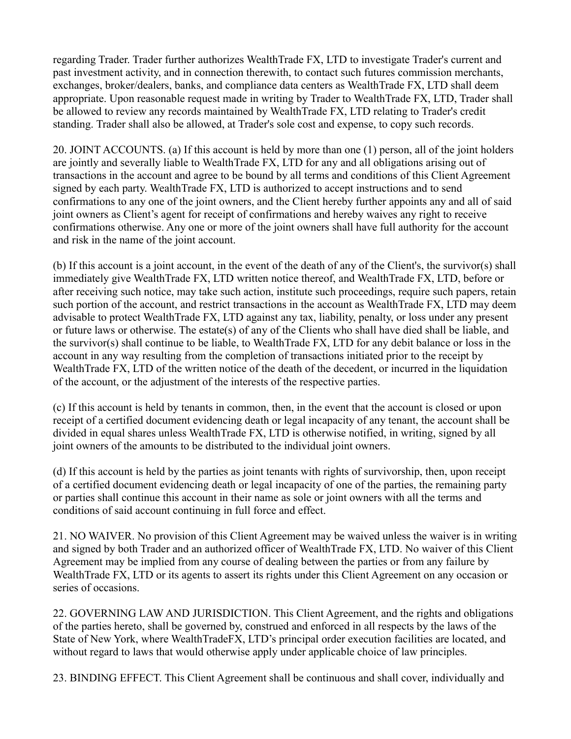regarding Trader. Trader further authorizes WealthTrade FX, LTD to investigate Trader's current and past investment activity, and in connection therewith, to contact such futures commission merchants, exchanges, broker/dealers, banks, and compliance data centers as WealthTrade FX, LTD shall deem appropriate. Upon reasonable request made in writing by Trader to WealthTrade FX, LTD, Trader shall be allowed to review any records maintained by WealthTrade FX, LTD relating to Trader's credit standing. Trader shall also be allowed, at Trader's sole cost and expense, to copy such records.

20. JOINT ACCOUNTS. (a) If this account is held by more than one (1) person, all of the joint holders are jointly and severally liable to WealthTrade FX, LTD for any and all obligations arising out of transactions in the account and agree to be bound by all terms and conditions of this Client Agreement signed by each party. WealthTrade FX, LTD is authorized to accept instructions and to send confirmations to any one of the joint owners, and the Client hereby further appoints any and all of said joint owners as Client's agent for receipt of confirmations and hereby waives any right to receive confirmations otherwise. Any one or more of the joint owners shall have full authority for the account and risk in the name of the joint account.

(b) If this account is a joint account, in the event of the death of any of the Client's, the survivor(s) shall immediately give WealthTrade FX, LTD written notice thereof, and WealthTrade FX, LTD, before or after receiving such notice, may take such action, institute such proceedings, require such papers, retain such portion of the account, and restrict transactions in the account as WealthTrade FX, LTD may deem advisable to protect WealthTrade FX, LTD against any tax, liability, penalty, or loss under any present or future laws or otherwise. The estate(s) of any of the Clients who shall have died shall be liable, and the survivor(s) shall continue to be liable, to WealthTrade FX, LTD for any debit balance or loss in the account in any way resulting from the completion of transactions initiated prior to the receipt by WealthTrade FX, LTD of the written notice of the death of the decedent, or incurred in the liquidation of the account, or the adjustment of the interests of the respective parties.

(c) If this account is held by tenants in common, then, in the event that the account is closed or upon receipt of a certified document evidencing death or legal incapacity of any tenant, the account shall be divided in equal shares unless WealthTrade FX, LTD is otherwise notified, in writing, signed by all joint owners of the amounts to be distributed to the individual joint owners.

(d) If this account is held by the parties as joint tenants with rights of survivorship, then, upon receipt of a certified document evidencing death or legal incapacity of one of the parties, the remaining party or parties shall continue this account in their name as sole or joint owners with all the terms and conditions of said account continuing in full force and effect.

21. NO WAIVER. No provision of this Client Agreement may be waived unless the waiver is in writing and signed by both Trader and an authorized officer of WealthTrade FX, LTD. No waiver of this Client Agreement may be implied from any course of dealing between the parties or from any failure by WealthTrade FX, LTD or its agents to assert its rights under this Client Agreement on any occasion or series of occasions.

22. GOVERNING LAW AND JURISDICTION. This Client Agreement, and the rights and obligations of the parties hereto, shall be governed by, construed and enforced in all respects by the laws of the State of New York, where WealthTradeFX, LTD's principal order execution facilities are located, and without regard to laws that would otherwise apply under applicable choice of law principles.

23. BINDING EFFECT. This Client Agreement shall be continuous and shall cover, individually and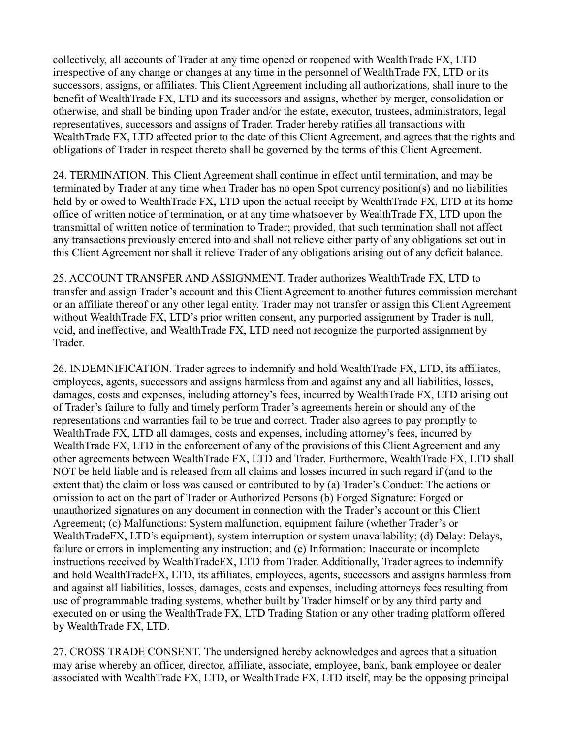collectively, all accounts of Trader at any time opened or reopened with WealthTrade FX, LTD irrespective of any change or changes at any time in the personnel of WealthTrade FX, LTD or its successors, assigns, or affiliates. This Client Agreement including all authorizations, shall inure to the benefit of WealthTrade FX, LTD and its successors and assigns, whether by merger, consolidation or otherwise, and shall be binding upon Trader and/or the estate, executor, trustees, administrators, legal representatives, successors and assigns of Trader. Trader hereby ratifies all transactions with WealthTrade FX, LTD affected prior to the date of this Client Agreement, and agrees that the rights and obligations of Trader in respect thereto shall be governed by the terms of this Client Agreement.

24. TERMINATION. This Client Agreement shall continue in effect until termination, and may be terminated by Trader at any time when Trader has no open Spot currency position(s) and no liabilities held by or owed to WealthTrade FX, LTD upon the actual receipt by WealthTrade FX, LTD at its home office of written notice of termination, or at any time whatsoever by WealthTrade FX, LTD upon the transmittal of written notice of termination to Trader; provided, that such termination shall not affect any transactions previously entered into and shall not relieve either party of any obligations set out in this Client Agreement nor shall it relieve Trader of any obligations arising out of any deficit balance.

25. ACCOUNT TRANSFER AND ASSIGNMENT. Trader authorizes WealthTrade FX, LTD to transfer and assign Trader's account and this Client Agreement to another futures commission merchant or an affiliate thereof or any other legal entity. Trader may not transfer or assign this Client Agreement without WealthTrade FX, LTD's prior written consent, any purported assignment by Trader is null, void, and ineffective, and WealthTrade FX, LTD need not recognize the purported assignment by Trader.

26. INDEMNIFICATION. Trader agrees to indemnify and hold WealthTrade FX, LTD, its affiliates, employees, agents, successors and assigns harmless from and against any and all liabilities, losses, damages, costs and expenses, including attorney's fees, incurred by WealthTrade FX, LTD arising out of Trader's failure to fully and timely perform Trader's agreements herein or should any of the representations and warranties fail to be true and correct. Trader also agrees to pay promptly to WealthTrade FX, LTD all damages, costs and expenses, including attorney's fees, incurred by WealthTrade FX, LTD in the enforcement of any of the provisions of this Client Agreement and any other agreements between WealthTrade FX, LTD and Trader. Furthermore, WealthTrade FX, LTD shall NOT be held liable and is released from all claims and losses incurred in such regard if (and to the extent that) the claim or loss was caused or contributed to by (a) Trader's Conduct: The actions or omission to act on the part of Trader or Authorized Persons (b) Forged Signature: Forged or unauthorized signatures on any document in connection with the Trader's account or this Client Agreement; (c) Malfunctions: System malfunction, equipment failure (whether Trader's or WealthTradeFX, LTD's equipment), system interruption or system unavailability; (d) Delay: Delays, failure or errors in implementing any instruction; and (e) Information: Inaccurate or incomplete instructions received by WealthTradeFX, LTD from Trader. Additionally, Trader agrees to indemnify and hold WealthTradeFX, LTD, its affiliates, employees, agents, successors and assigns harmless from and against all liabilities, losses, damages, costs and expenses, including attorneys fees resulting from use of programmable trading systems, whether built by Trader himself or by any third party and executed on or using the WealthTrade FX, LTD Trading Station or any other trading platform offered by WealthTrade FX, LTD.

27. CROSS TRADE CONSENT. The undersigned hereby acknowledges and agrees that a situation may arise whereby an officer, director, affiliate, associate, employee, bank, bank employee or dealer associated with WealthTrade FX, LTD, or WealthTrade FX, LTD itself, may be the opposing principal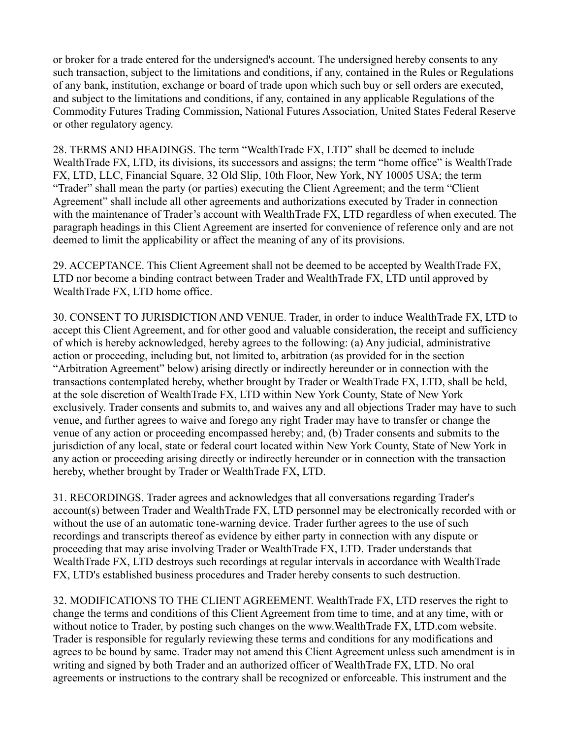or broker for a trade entered for the undersigned's account. The undersigned hereby consents to any such transaction, subject to the limitations and conditions, if any, contained in the Rules or Regulations of any bank, institution, exchange or board of trade upon which such buy or sell orders are executed, and subject to the limitations and conditions, if any, contained in any applicable Regulations of the Commodity Futures Trading Commission, National Futures Association, United States Federal Reserve or other regulatory agency.

28. TERMS AND HEADINGS. The term "WealthTrade FX, LTD" shall be deemed to include WealthTrade FX, LTD, its divisions, its successors and assigns; the term "home office" is WealthTrade FX, LTD, LLC, Financial Square, 32 Old Slip, 10th Floor, New York, NY 10005 USA; the term "Trader" shall mean the party (or parties) executing the Client Agreement; and the term "Client Agreement" shall include all other agreements and authorizations executed by Trader in connection with the maintenance of Trader's account with WealthTrade FX, LTD regardless of when executed. The paragraph headings in this Client Agreement are inserted for convenience of reference only and are not deemed to limit the applicability or affect the meaning of any of its provisions.

29. ACCEPTANCE. This Client Agreement shall not be deemed to be accepted by WealthTrade FX, LTD nor become a binding contract between Trader and WealthTrade FX, LTD until approved by WealthTrade FX, LTD home office.

30. CONSENT TO JURISDICTION AND VENUE. Trader, in order to induce WealthTrade FX, LTD to accept this Client Agreement, and for other good and valuable consideration, the receipt and sufficiency of which is hereby acknowledged, hereby agrees to the following: (a) Any judicial, administrative action or proceeding, including but, not limited to, arbitration (as provided for in the section "Arbitration Agreement" below) arising directly or indirectly hereunder or in connection with the transactions contemplated hereby, whether brought by Trader or WealthTrade FX, LTD, shall be held, at the sole discretion of WealthTrade FX, LTD within New York County, State of New York exclusively. Trader consents and submits to, and waives any and all objections Trader may have to such venue, and further agrees to waive and forego any right Trader may have to transfer or change the venue of any action or proceeding encompassed hereby; and, (b) Trader consents and submits to the jurisdiction of any local, state or federal court located within New York County, State of New York in any action or proceeding arising directly or indirectly hereunder or in connection with the transaction hereby, whether brought by Trader or WealthTrade FX, LTD.

31. RECORDINGS. Trader agrees and acknowledges that all conversations regarding Trader's account(s) between Trader and WealthTrade FX, LTD personnel may be electronically recorded with or without the use of an automatic tone-warning device. Trader further agrees to the use of such recordings and transcripts thereof as evidence by either party in connection with any dispute or proceeding that may arise involving Trader or WealthTrade FX, LTD. Trader understands that WealthTrade FX, LTD destroys such recordings at regular intervals in accordance with WealthTrade FX, LTD's established business procedures and Trader hereby consents to such destruction.

32. MODIFICATIONS TO THE CLIENT AGREEMENT. WealthTrade FX, LTD reserves the right to change the terms and conditions of this Client Agreement from time to time, and at any time, with or without notice to Trader, by posting such changes on the www.WealthTrade FX, LTD.com website. Trader is responsible for regularly reviewing these terms and conditions for any modifications and agrees to be bound by same. Trader may not amend this Client Agreement unless such amendment is in writing and signed by both Trader and an authorized officer of WealthTrade FX, LTD. No oral agreements or instructions to the contrary shall be recognized or enforceable. This instrument and the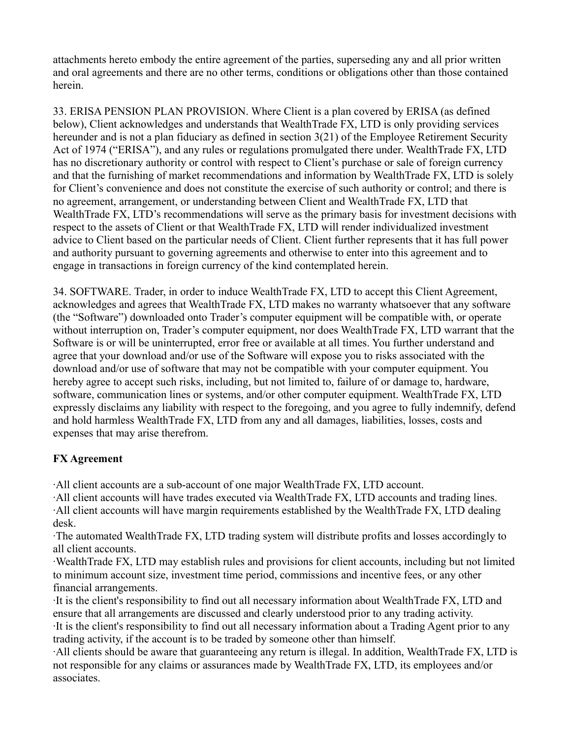attachments hereto embody the entire agreement of the parties, superseding any and all prior written and oral agreements and there are no other terms, conditions or obligations other than those contained herein.

33. ERISA PENSION PLAN PROVISION. Where Client is a plan covered by ERISA (as defined below), Client acknowledges and understands that WealthTrade FX, LTD is only providing services hereunder and is not a plan fiduciary as defined in section 3(21) of the Employee Retirement Security Act of 1974 ("ERISA"), and any rules or regulations promulgated there under. WealthTrade FX, LTD has no discretionary authority or control with respect to Client's purchase or sale of foreign currency and that the furnishing of market recommendations and information by WealthTrade FX, LTD is solely for Client's convenience and does not constitute the exercise of such authority or control; and there is no agreement, arrangement, or understanding between Client and WealthTrade FX, LTD that WealthTrade FX, LTD's recommendations will serve as the primary basis for investment decisions with respect to the assets of Client or that WealthTrade FX, LTD will render individualized investment advice to Client based on the particular needs of Client. Client further represents that it has full power and authority pursuant to governing agreements and otherwise to enter into this agreement and to engage in transactions in foreign currency of the kind contemplated herein.

34. SOFTWARE. Trader, in order to induce WealthTrade FX, LTD to accept this Client Agreement, acknowledges and agrees that WealthTrade FX, LTD makes no warranty whatsoever that any software (the "Software") downloaded onto Trader's computer equipment will be compatible with, or operate without interruption on, Trader's computer equipment, nor does WealthTrade FX, LTD warrant that the Software is or will be uninterrupted, error free or available at all times. You further understand and agree that your download and/or use of the Software will expose you to risks associated with the download and/or use of software that may not be compatible with your computer equipment. You hereby agree to accept such risks, including, but not limited to, failure of or damage to, hardware, software, communication lines or systems, and/or other computer equipment. WealthTrade FX, LTD expressly disclaims any liability with respect to the foregoing, and you agree to fully indemnify, defend and hold harmless WealthTrade FX, LTD from any and all damages, liabilities, losses, costs and expenses that may arise therefrom.

### **FX Agreement**

·All client accounts are a sub-account of one major WealthTrade FX, LTD account.

·All client accounts will have trades executed via WealthTrade FX, LTD accounts and trading lines. ·All client accounts will have margin requirements established by the WealthTrade FX, LTD dealing desk.

·The automated WealthTrade FX, LTD trading system will distribute profits and losses accordingly to all client accounts.

·WealthTrade FX, LTD may establish rules and provisions for client accounts, including but not limited to minimum account size, investment time period, commissions and incentive fees, or any other financial arrangements.

·It is the client's responsibility to find out all necessary information about WealthTrade FX, LTD and ensure that all arrangements are discussed and clearly understood prior to any trading activity. ·It is the client's responsibility to find out all necessary information about a Trading Agent prior to any trading activity, if the account is to be traded by someone other than himself.

·All clients should be aware that guaranteeing any return is illegal. In addition, WealthTrade FX, LTD is not responsible for any claims or assurances made by WealthTrade FX, LTD, its employees and/or associates.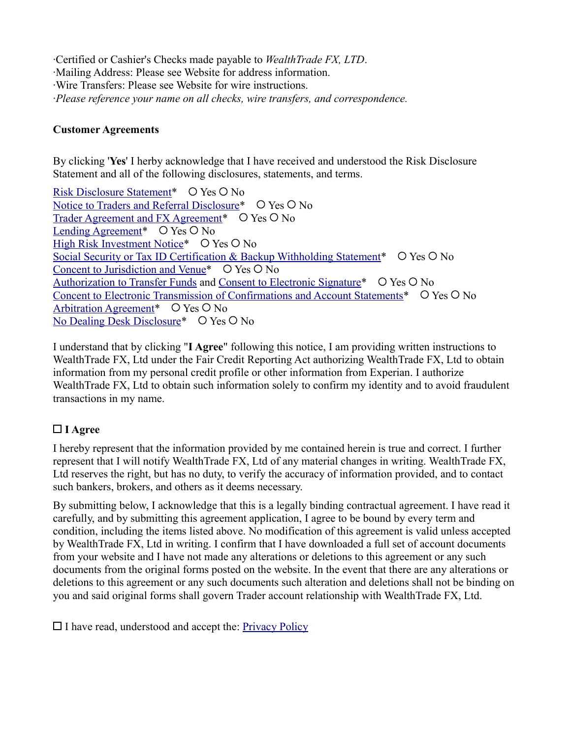·Certified or Cashier's Checks made payable to *WealthTrade FX, LTD*. ·Mailing Address: Please see Website for address information. ·Wire Transfers: Please see Website for wire instructions. ·*Please reference your name on all checks, wire transfers, and correspondence.*

### **Customer Agreements**

By clicking '**Yes**' I herby acknowledge that I have received and understood the Risk Disclosure Statement and all of the following disclosures, statements, and terms.

[Risk Disclosure Statement\\*](http://www.wealthtradefx.com/agreements/riskdisclosure.html) O Yes O No [Notice to Traders and Referral Disclosure\\*](http://www.wealthtradefx.com/agreements/noticetotraders.html)  $\circ$  Yes  $\circ$  No [Trader Agreement and FX Agreement\\*](http://www.wealthtradefx.com/agreements/traderagreement.html)  $\circ$  Yes  $\circ$  No Lending Agreement<sup>\*</sup>  $\circ$  Yes  $\circ$  No [High Risk Investment Notice\\*](http://www.wealthtradefx.com/agreements/highriskinvestmentnotice.html)  $\circ$  Yes  $\circ$  No Social Security or Tax ID Certification  $\&$  Backup Withholding Statement\*  $\circ$  Yes  $\circ$  No [Concent to Jurisdiction and Venue\\*](http://www.wealthtradefx.com/agreements/consenttojuristdictionandvenue.html)  $\circ$  Yes  $\circ$  No [Authorization to Transfer Funds](http://www.wealthtradefx.com/agreements/authorizationtransferfunds.html) and [Consent to Electronic Signature\\*](http://www.wealthtradefx.com/agreements/consenttoelectronicsignature.html)  $\circ$  Yes  $\circ$  No [Concent to Electronic Transmission of Confirmations and Account Statements\\*](http://www.wealthtradefx.com/agreements/consenttoelectronicsignature.html) O Yes O No [Arbitration Agreement\\*](http://www.wealthtradefx.com/agreements/arbitration_agreement.html)  $O$  Yes  $O$  No [No Dealing Desk Disclosure\\*](http://www.wealthtradefx.com/agreements/nodealingdisclosure.html)  $\circ$  Yes  $\circ$  No

I understand that by clicking "**I Agree**" following this notice, I am providing written instructions to WealthTrade FX, Ltd under the Fair Credit Reporting Act authorizing WealthTrade FX, Ltd to obtain information from my personal credit profile or other information from Experian. I authorize WealthTrade FX, Ltd to obtain such information solely to confirm my identity and to avoid fraudulent transactions in my name.

### **I Agree**

I hereby represent that the information provided by me contained herein is true and correct. I further represent that I will notify WealthTrade FX, Ltd of any material changes in writing. WealthTrade FX, Ltd reserves the right, but has no duty, to verify the accuracy of information provided, and to contact such bankers, brokers, and others as it deems necessary.

By submitting below, I acknowledge that this is a legally binding contractual agreement. I have read it carefully, and by submitting this agreement application, I agree to be bound by every term and condition, including the items listed above. No modification of this agreement is valid unless accepted by WealthTrade FX, Ltd in writing. I confirm that I have downloaded a full set of account documents from your website and I have not made any alterations or deletions to this agreement or any such documents from the original forms posted on the website. In the event that there are any alterations or deletions to this agreement or any such documents such alteration and deletions shall not be binding on you and said original forms shall govern Trader account relationship with WealthTrade FX, Ltd.

 $\Box$  I have read, understood and accept the: [Privacy Policy](http://www.wealthtradefx.com/privacy.php)